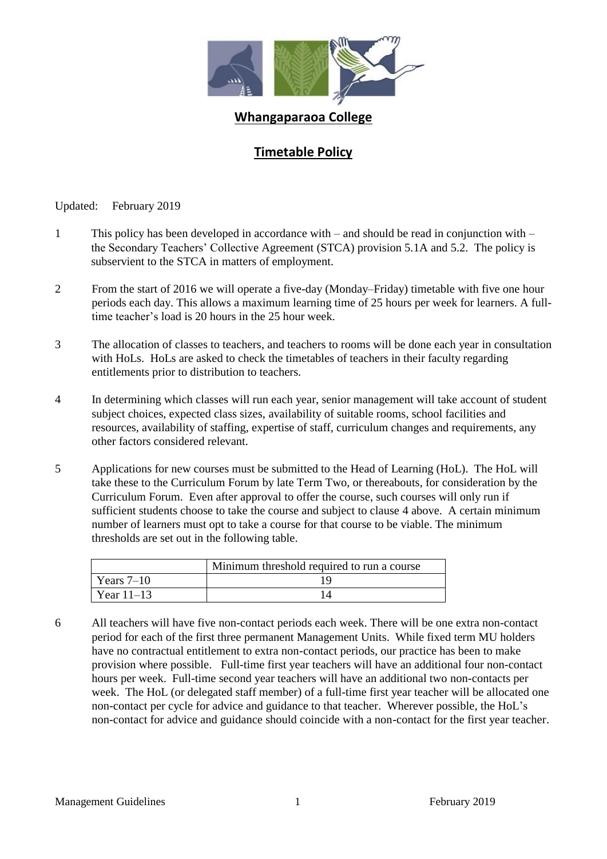

## **Whangaparaoa College**

## **Timetable Policy**

Updated: February 2019

- 1 This policy has been developed in accordance with and should be read in conjunction with the Secondary Teachers' Collective Agreement (STCA) provision 5.1A and 5.2. The policy is subservient to the STCA in matters of employment.
- 2 From the start of 2016 we will operate a five-day (Monday–Friday) timetable with five one hour periods each day. This allows a maximum learning time of 25 hours per week for learners. A fulltime teacher's load is 20 hours in the 25 hour week.
- 3 The allocation of classes to teachers, and teachers to rooms will be done each year in consultation with HoLs. HoLs are asked to check the timetables of teachers in their faculty regarding entitlements prior to distribution to teachers.
- 4 In determining which classes will run each year, senior management will take account of student subject choices, expected class sizes, availability of suitable rooms, school facilities and resources, availability of staffing, expertise of staff, curriculum changes and requirements, any other factors considered relevant.
- 5 Applications for new courses must be submitted to the Head of Learning (HoL). The HoL will take these to the Curriculum Forum by late Term Two, or thereabouts, for consideration by the Curriculum Forum. Even after approval to offer the course, such courses will only run if sufficient students choose to take the course and subject to clause 4 above. A certain minimum number of learners must opt to take a course for that course to be viable. The minimum thresholds are set out in the following table.

|              | Minimum threshold required to run a course |  |
|--------------|--------------------------------------------|--|
| Years $7-10$ |                                            |  |
| Year $11-13$ |                                            |  |

6 All teachers will have five non-contact periods each week. There will be one extra non-contact period for each of the first three permanent Management Units. While fixed term MU holders have no contractual entitlement to extra non-contact periods, our practice has been to make provision where possible. Full-time first year teachers will have an additional four non-contact hours per week. Full-time second year teachers will have an additional two non-contacts per week. The HoL (or delegated staff member) of a full-time first year teacher will be allocated one non-contact per cycle for advice and guidance to that teacher. Wherever possible, the HoL's non-contact for advice and guidance should coincide with a non-contact for the first year teacher.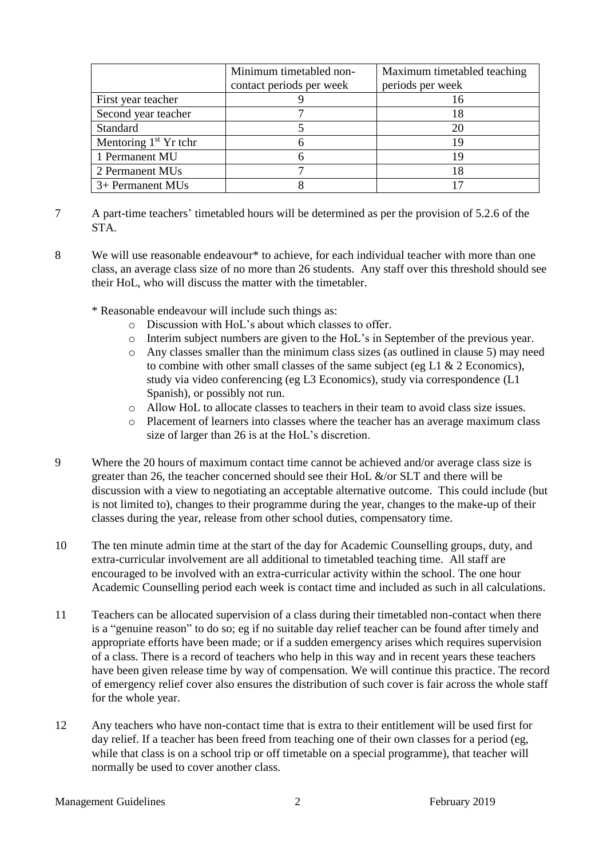|                         | Minimum timetabled non-  | Maximum timetabled teaching |
|-------------------------|--------------------------|-----------------------------|
|                         | contact periods per week | periods per week            |
| First year teacher      |                          |                             |
| Second year teacher     |                          |                             |
| Standard                |                          |                             |
| Mentoring $1st$ Yr tchr |                          |                             |
| 1 Permanent MU          |                          |                             |
| 2 Permanent MUs         |                          |                             |
| 3+ Permanent MUs        |                          |                             |

- 7 A part-time teachers' timetabled hours will be determined as per the provision of 5.2.6 of the STA.
- 8 We will use reasonable endeavour\* to achieve, for each individual teacher with more than one class, an average class size of no more than 26 students. Any staff over this threshold should see their HoL, who will discuss the matter with the timetabler.
	- \* Reasonable endeavour will include such things as:
		- o Discussion with HoL's about which classes to offer.
		- o Interim subject numbers are given to the HoL's in September of the previous year.
		- o Any classes smaller than the minimum class sizes (as outlined in clause 5) may need to combine with other small classes of the same subject (eg L1  $\&$  2 Economics), study via video conferencing (eg L3 Economics), study via correspondence (L1 Spanish), or possibly not run.
		- o Allow HoL to allocate classes to teachers in their team to avoid class size issues.
		- o Placement of learners into classes where the teacher has an average maximum class size of larger than 26 is at the HoL's discretion.
- 9 Where the 20 hours of maximum contact time cannot be achieved and/or average class size is greater than 26, the teacher concerned should see their HoL &/or SLT and there will be discussion with a view to negotiating an acceptable alternative outcome. This could include (but is not limited to), changes to their programme during the year, changes to the make-up of their classes during the year, release from other school duties, compensatory time.
- 10 The ten minute admin time at the start of the day for Academic Counselling groups, duty, and extra-curricular involvement are all additional to timetabled teaching time. All staff are encouraged to be involved with an extra-curricular activity within the school. The one hour Academic Counselling period each week is contact time and included as such in all calculations.
- 11 Teachers can be allocated supervision of a class during their timetabled non-contact when there is a "genuine reason" to do so; eg if no suitable day relief teacher can be found after timely and appropriate efforts have been made; or if a sudden emergency arises which requires supervision of a class. There is a record of teachers who help in this way and in recent years these teachers have been given release time by way of compensation. We will continue this practice. The record of emergency relief cover also ensures the distribution of such cover is fair across the whole staff for the whole year.
- 12 Any teachers who have non-contact time that is extra to their entitlement will be used first for day relief. If a teacher has been freed from teaching one of their own classes for a period (eg, while that class is on a school trip or off timetable on a special programme), that teacher will normally be used to cover another class.